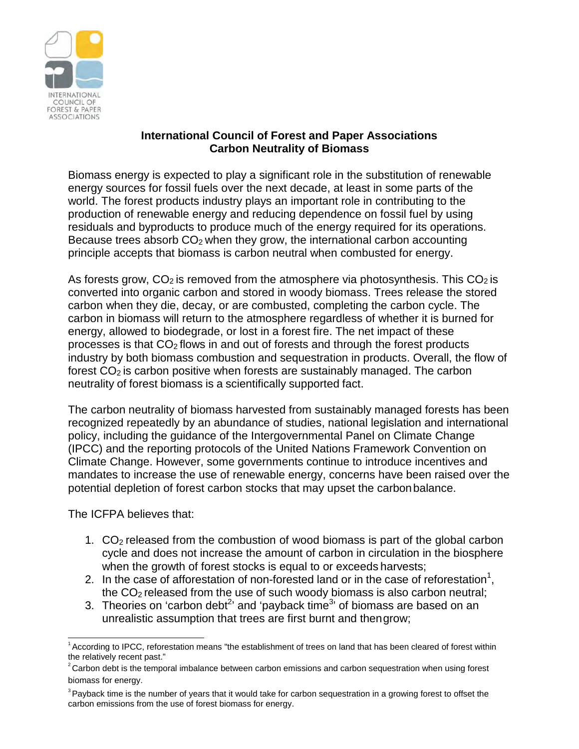

## **International Council of Forest and Paper Associations Carbon Neutrality of Biomass**

Biomass energy is expected to play a significant role in the substitution of renewable energy sources for fossil fuels over the next decade, at least in some parts of the world. The forest products industry plays an important role in contributing to the production of renewable energy and reducing dependence on fossil fuel by using residuals and byproducts to produce much of the energy required for its operations. Because trees absorb  $CO<sub>2</sub>$  when they grow, the international carbon accounting principle accepts that biomass is carbon neutral when combusted for energy.

As forests grow,  $CO<sub>2</sub>$  is removed from the atmosphere via photosynthesis. This  $CO<sub>2</sub>$  is converted into organic carbon and stored in woody biomass. Trees release the stored carbon when they die, decay, or are combusted, completing the carbon cycle. The carbon in biomass will return to the atmosphere regardless of whether it is burned for energy, allowed to biodegrade, or lost in a forest fire. The net impact of these processes is that  $CO<sub>2</sub>$  flows in and out of forests and through the forest products industry by both biomass combustion and sequestration in products. Overall, the flow of forest  $CO<sub>2</sub>$  is carbon positive when forests are sustainably managed. The carbon neutrality of forest biomass is a scientifically supported fact.

The carbon neutrality of biomass harvested from sustainably managed forests has been recognized repeatedly by an abundance of studies, national legislation and international policy, including the guidance of the Intergovernmental Panel on Climate Change (IPCC) and the reporting protocols of the United Nations Framework Convention on Climate Change. However, some governments continue to introduce incentives and mandates to increase the use of renewable energy, concerns have been raised over the potential depletion of forest carbon stocks that may upset the carbonbalance.

The ICFPA believes that:

- 1. CO2 released from the combustion of wood biomass is part of the global carbon cycle and does not increase the amount of carbon in circulation in the biosphere when the growth of forest stocks is equal to or exceeds harvests;
- 2. In the case of afforestation of non-forested land or in the case of reforestation<sup>1</sup>, the CO2 released from the use of such woody biomass is also carbon neutral;
- 3. Theories on 'carbon debt<sup>2</sup>' and 'payback time<sup>3</sup>' of biomass are based on an unrealistic assumption that trees are first burnt and thengrow;

<sup>1</sup> According to IPCC, reforestation means "the establishment of trees on land that has been cleared of forest within the relatively recent past."

 $2$  Carbon debt is the temporal imbalance between carbon emissions and carbon sequestration when using forest biomass for energy.

 $3$  Payback time is the number of years that it would take for carbon sequestration in a growing forest to offset the carbon emissions from the use of forest biomass for energy.